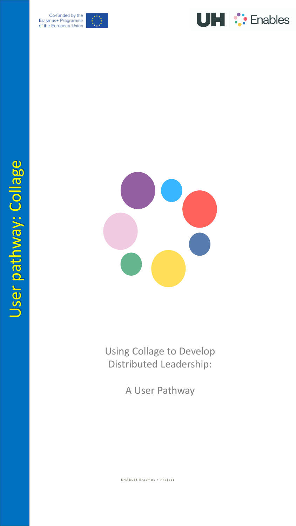

Co-funded by the<br>Erasmus+ Programme of the European Union





Using Collage to Develop Distributed Leadership:

A User Pathway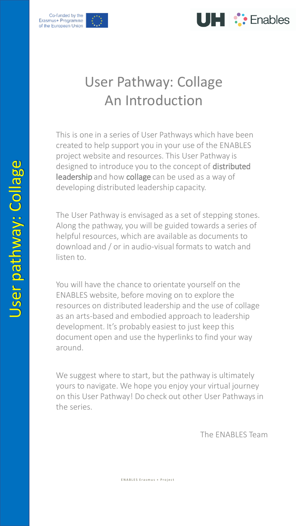



## User Pathway: Collage An Introduction

This is one in a series of User Pathways which have been created to help support you in your use of the ENABLES project website and resources. This User Pathway is designed to introduce you to the concept of distributed leadership and how collage can be used as a way of developing distributed leadership capacity.

The User Pathway is envisaged as a set of stepping stones. Along the pathway, you will be guided towards a series of helpful resources, which are available as documents to download and / or in audio -visual formats to watch and listen to.

You will have the chance to orientate yourself on the ENABLES website, before moving on to explore the resources on distributed leadership and the use of collage as an arts -based and embodied approach to leadership development. It's probably easiest to just keep this document open and use the hyperlinks to find your way around.

We suggest where to start, but the pathway is ultimately yours to navigate. We hope you enjoy your virtual journey on this User Pathway! Do check out other User Pathways in the series.

The ENABLES Team

E N A B L E S E ras mus + P r o j e c t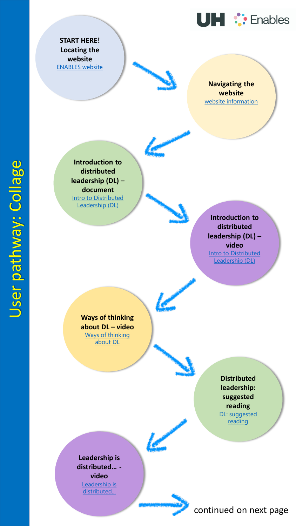

**START HERE! Locating the website** [ENABLES website](https://www.herts.ac.uk/study/schools-of-study/education/research/enables)

> **Navigating the website**  [website information](https://www.herts.ac.uk/__data/assets/pdf_file/0018/340425/1.A.1_Website-information-document.pdf)

**Introduction to distributed leadership (DL) – document** [Intro to Distributed](https://www.herts.ac.uk/__data/assets/pdf_file/0019/340426/1.B.1_Distributed-leadership-information-document.pdf)  Leadership (DL)

> **Introduction to distributed leadership (DL) – video [Intro to Distributed](https://www.youtube.com/watch?v=Oi44LBwHz80&t=5s)** Leadership (DL)

**Ways of thinking about DL – video** [Ways of thinking](https://www.youtube.com/watch?v=R9NJJgp7yT0)  about DL

> **Distributed leadership: suggested reading** [DL: suggested](https://www.herts.ac.uk/__data/assets/pdf_file/0004/340429/2.B.2_Distributed-leadership-suggested-reading.pdf) reading

**Leadership is distributed… -**

**video** Leadership is [distributed...](https://www.youtube.com/watch?v=J5F0MNrDSpY&t=7s)

## continued on next page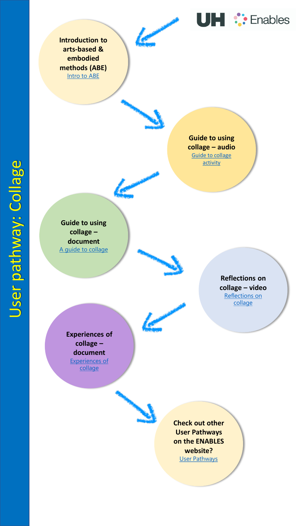**Introduction to arts-based & embodied methods (ABE)** [Intro to ABE](https://www.herts.ac.uk/__data/assets/pdf_file/0020/340427/1.C.1_Artsbased-embodied-information-document.pdf)



**Guide to using collage – audio**  [Guide to collage](https://youtu.be/h6dT1vCH8uk) activity

**Guide to using collage – document** [A guide to collage](https://www.herts.ac.uk/__data/assets/pdf_file/0015/340431/2.C.4_Collage-activity-written-guide.pdf)

> **Reflections on collage – video** [Reflections on](https://www.youtube.com/watch?v=V2gKHZN1cgg) collage

**UH :** Enables

**Experiences of collage – document** [Experiences of](https://www.herts.ac.uk/__data/assets/pdf_file/0016/340432/2.C.8_Collage-and-gesture_participant-experiences.pdf)  collage

**Check out other User Pathways on the ENABLES website?** [User Pathways](https://www.herts.ac.uk/study/schools-of-study/education/research/enables/resources)